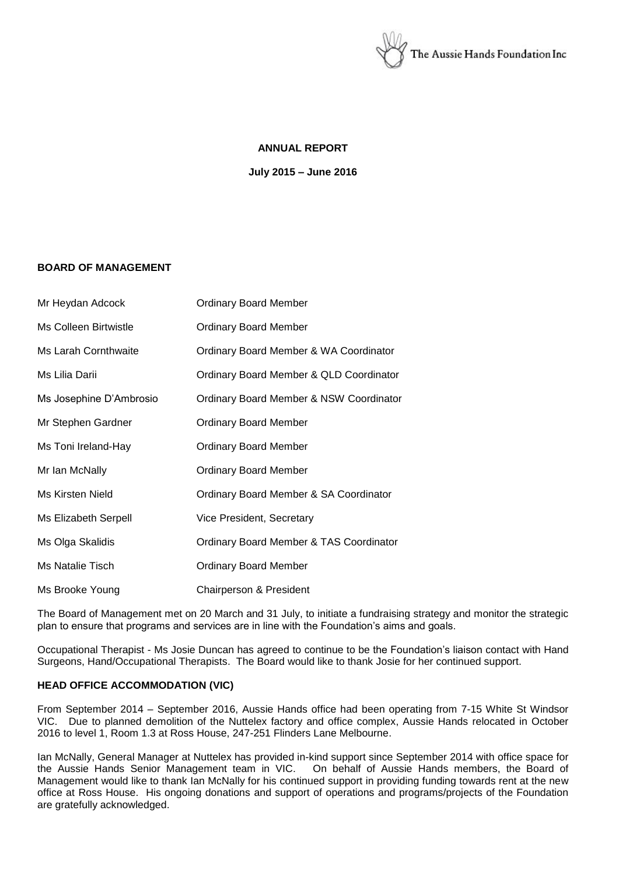

### **ANNUAL REPORT**

**July 2015 – June 2016**

### **BOARD OF MANAGEMENT**

| Mr Heydan Adcock        | <b>Ordinary Board Member</b>                       |
|-------------------------|----------------------------------------------------|
| Ms Colleen Birtwistle   | <b>Ordinary Board Member</b>                       |
| Ms Larah Cornthwaite    | Ordinary Board Member & WA Coordinator             |
| Ms Lilia Darii          | Ordinary Board Member & QLD Coordinator            |
| Ms Josephine D'Ambrosio | Ordinary Board Member & NSW Coordinator            |
| Mr Stephen Gardner      | <b>Ordinary Board Member</b>                       |
| Ms Toni Ireland-Hay     | <b>Ordinary Board Member</b>                       |
| Mr Ian McNally          | <b>Ordinary Board Member</b>                       |
| Ms Kirsten Nield        | Ordinary Board Member & SA Coordinator             |
| Ms Elizabeth Serpell    | Vice President, Secretary                          |
| Ms Olga Skalidis        | <b>Ordinary Board Member &amp; TAS Coordinator</b> |
| Ms Natalie Tisch        | <b>Ordinary Board Member</b>                       |
| Ms Brooke Young         | Chairperson & President                            |

The Board of Management met on 20 March and 31 July, to initiate a fundraising strategy and monitor the strategic plan to ensure that programs and services are in line with the Foundation's aims and goals.

Occupational Therapist - Ms Josie Duncan has agreed to continue to be the Foundation's liaison contact with Hand Surgeons, Hand/Occupational Therapists. The Board would like to thank Josie for her continued support.

### **HEAD OFFICE ACCOMMODATION (VIC)**

From September 2014 – September 2016, Aussie Hands office had been operating from 7-15 White St Windsor VIC. Due to planned demolition of the Nuttelex factory and office complex, Aussie Hands relocated in October 2016 to level 1, Room 1.3 at Ross House, 247-251 Flinders Lane Melbourne.

Ian McNally, General Manager at Nuttelex has provided in-kind support since September 2014 with office space for the Aussie Hands Senior Management team in VIC. On behalf of Aussie Hands members, the Board of Management would like to thank Ian McNally for his continued support in providing funding towards rent at the new office at Ross House. His ongoing donations and support of operations and programs/projects of the Foundation are gratefully acknowledged.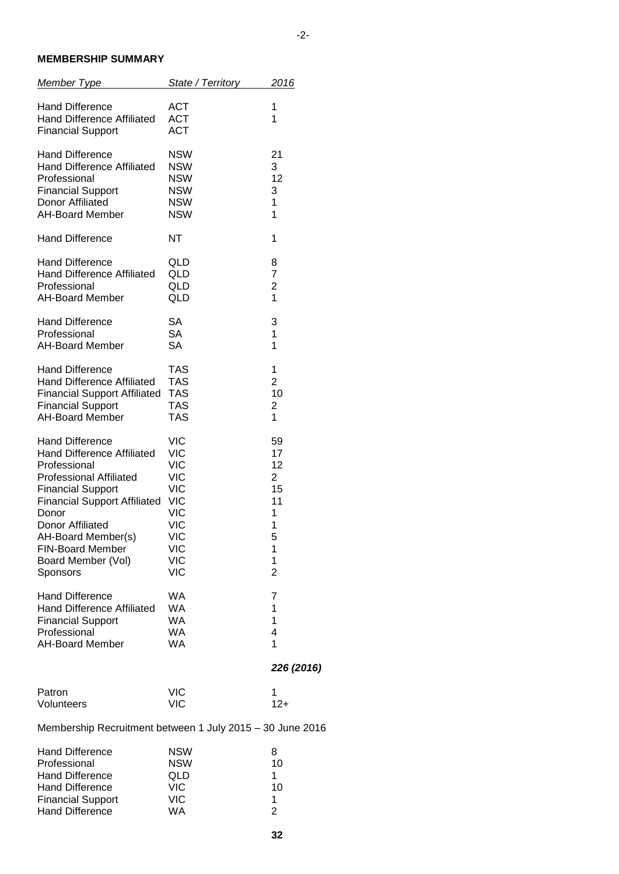### **MEMBERSHIP SUMMARY**

| <b>Member Type</b>                                                                      | State / Territory                      | 2016                    |  |  |
|-----------------------------------------------------------------------------------------|----------------------------------------|-------------------------|--|--|
| <b>Hand Difference</b><br><b>Hand Difference Affiliated</b><br><b>Financial Support</b> | <b>ACT</b><br><b>ACT</b><br><b>ACT</b> | 1<br>1                  |  |  |
| <b>Hand Difference</b>                                                                  | NSW                                    | 21                      |  |  |
| <b>Hand Difference Affiliated</b>                                                       | <b>NSW</b>                             | 3                       |  |  |
| Professional                                                                            | <b>NSW</b>                             | 12                      |  |  |
| <b>Financial Support</b>                                                                | <b>NSW</b>                             | 3                       |  |  |
| Donor Affiliated                                                                        | <b>NSW</b>                             | 1                       |  |  |
| <b>AH-Board Member</b>                                                                  | <b>NSW</b>                             | 1                       |  |  |
| <b>Hand Difference</b>                                                                  | ΝT                                     | 1                       |  |  |
| <b>Hand Difference</b>                                                                  | QLD                                    | 8                       |  |  |
| <b>Hand Difference Affiliated</b>                                                       | QLD                                    | 7                       |  |  |
| Professional                                                                            | QLD                                    | $\overline{\mathbf{c}}$ |  |  |
| <b>AH-Board Member</b>                                                                  | QLD                                    | $\overline{1}$          |  |  |
| <b>Hand Difference</b>                                                                  | SA                                     | 3                       |  |  |
| Professional                                                                            | <b>SA</b>                              | 1                       |  |  |
| <b>AH-Board Member</b>                                                                  | <b>SA</b>                              | 1                       |  |  |
| <b>Hand Difference</b>                                                                  | <b>TAS</b>                             | 1                       |  |  |
| Hand Difference Affiliated                                                              | <b>TAS</b>                             | $\overline{2}$          |  |  |
| <b>Financial Support Affiliated</b>                                                     | <b>TAS</b>                             | 10                      |  |  |
| <b>Financial Support</b>                                                                | <b>TAS</b>                             | 2                       |  |  |
| <b>AH-Board Member</b>                                                                  | <b>TAS</b>                             | 1                       |  |  |
| <b>Hand Difference</b>                                                                  | <b>VIC</b>                             | 59                      |  |  |
| <b>Hand Difference Affiliated</b>                                                       | <b>VIC</b>                             | 17                      |  |  |
| Professional                                                                            | <b>VIC</b>                             | 12                      |  |  |
| <b>Professional Affiliated</b>                                                          | <b>VIC</b>                             | $\overline{2}$          |  |  |
| <b>Financial Support</b>                                                                | <b>VIC</b>                             | 15                      |  |  |
| <b>Financial Support Affiliated</b>                                                     | <b>VIC</b>                             | 11                      |  |  |
| Donor                                                                                   | <b>VIC</b>                             | 1                       |  |  |
| <b>Donor Affiliated</b>                                                                 | <b>VIC</b>                             | 1                       |  |  |
| AH-Board Member(s)                                                                      | VIC                                    | 5                       |  |  |
| <b>FIN-Board Member</b>                                                                 | VIC                                    | 1                       |  |  |
| Board Member (Vol)                                                                      | <b>VIC</b>                             | 1                       |  |  |
| Sponsors                                                                                | <b>VIC</b>                             | 2                       |  |  |
| <b>Hand Difference</b>                                                                  | WA                                     | 7                       |  |  |
| <b>Hand Difference Affiliated</b>                                                       | <b>WA</b>                              | 1                       |  |  |
| <b>Financial Support</b>                                                                | <b>WA</b>                              | 1                       |  |  |
| Professional                                                                            | WA                                     | 4                       |  |  |
| <b>AH-Board Member</b>                                                                  | <b>WA</b>                              | 1                       |  |  |
|                                                                                         |                                        | 226 (2016)              |  |  |
| Patron                                                                                  | <b>VIC</b>                             | 1                       |  |  |
| Volunteers                                                                              | VIC                                    | $12+$                   |  |  |
| Membership Recruitment between 1 July 2015 - 30 June 2016                               |                                        |                         |  |  |
| <b>Hand Difference</b>                                                                  | <b>NSW</b>                             | 8                       |  |  |
| Professional                                                                            | <b>NSW</b>                             | 10                      |  |  |
| <b>Hand Difference</b>                                                                  | QLD                                    | 1                       |  |  |
| <b>Hand Difference</b>                                                                  | <b>VIC</b>                             | 10                      |  |  |

Hand Difference VIC 10 Financial Support VIC 1 Hand Difference WA 2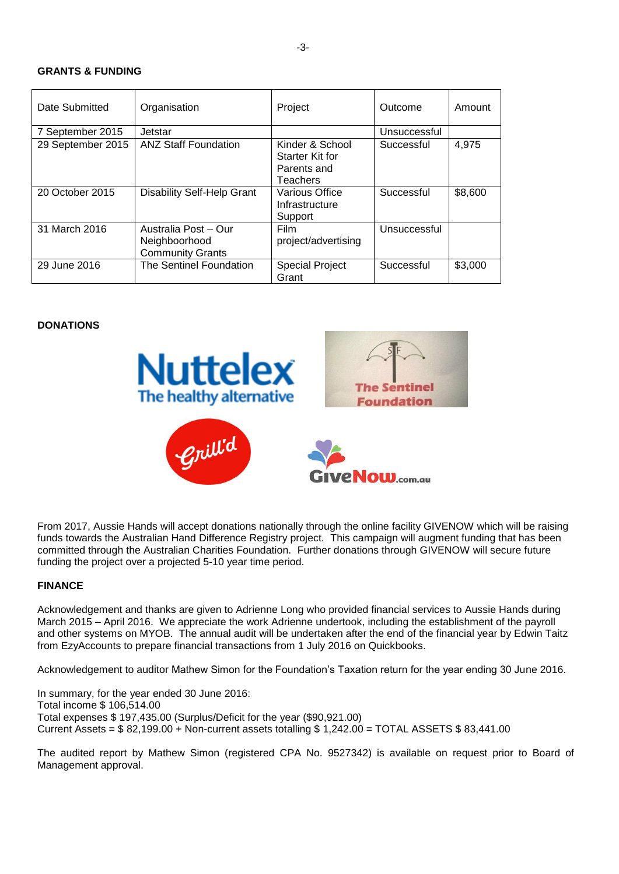#### **GRANTS & FUNDING**

| Date Submitted    | Organisation                                                     | Project                                                       | Outcome      | Amount  |
|-------------------|------------------------------------------------------------------|---------------------------------------------------------------|--------------|---------|
| 7 September 2015  | Jetstar                                                          |                                                               | Unsuccessful |         |
| 29 September 2015 | <b>ANZ Staff Foundation</b>                                      | Kinder & School<br>Starter Kit for<br>Parents and<br>Teachers | Successful   | 4,975   |
| 20 October 2015   | <b>Disability Self-Help Grant</b>                                | Various Office<br>Infrastructure<br>Support                   | Successful   | \$8,600 |
| 31 March 2016     | Australia Post - Our<br>Neighboorhood<br><b>Community Grants</b> | <b>Film</b><br>project/advertising                            | Unsuccessful |         |
| 29 June 2016      | The Sentinel Foundation                                          | <b>Special Project</b><br>Grant                               | Successful   | \$3,000 |

#### **DONATIONS**



From 2017, Aussie Hands will accept donations nationally through the online facility GIVENOW which will be raising funds towards the Australian Hand Difference Registry project. This campaign will augment funding that has been committed through the Australian Charities Foundation. Further donations through GIVENOW will secure future funding the project over a projected 5-10 year time period.

#### **FINANCE**

Acknowledgement and thanks are given to Adrienne Long who provided financial services to Aussie Hands during March 2015 – April 2016. We appreciate the work Adrienne undertook, including the establishment of the payroll and other systems on MYOB. The annual audit will be undertaken after the end of the financial year by Edwin Taitz from EzyAccounts to prepare financial transactions from 1 July 2016 on Quickbooks.

Acknowledgement to auditor Mathew Simon for the Foundation's Taxation return for the year ending 30 June 2016.

In summary, for the year ended 30 June 2016: Total income \$ 106,514.00 Total expenses \$ 197,435.00 (Surplus/Deficit for the year (\$90,921.00) Current Assets =  $$ 82,199.00 + Non-current assets totalling  $$ 1,242.00 = TOTAL ASSETS $ 83,441.00$$ 

The audited report by Mathew Simon (registered CPA No. 9527342) is available on request prior to Board of Management approval.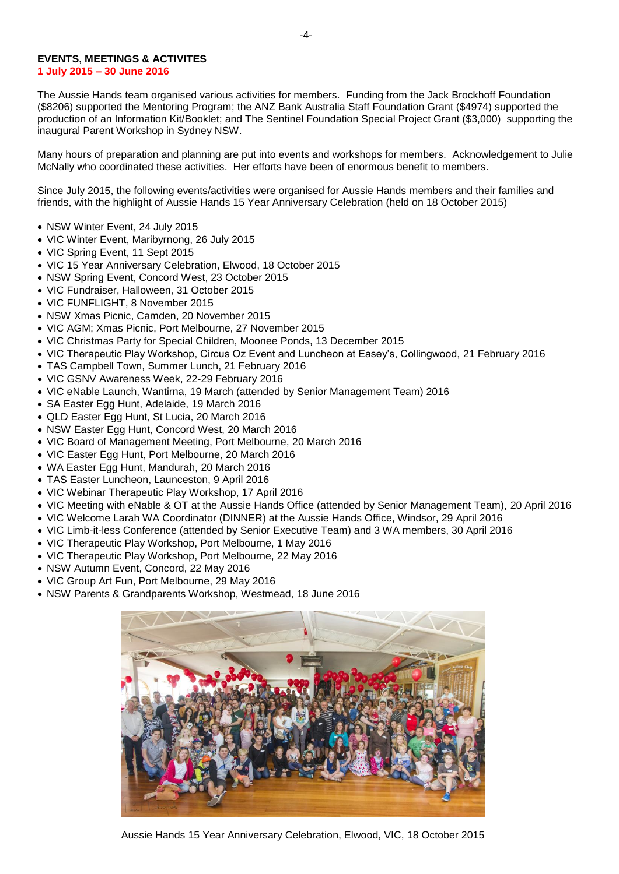#### **EVENTS, MEETINGS & ACTIVITES 1 July 2015 – 30 June 2016**

The Aussie Hands team organised various activities for members. Funding from the Jack Brockhoff Foundation (\$8206) supported the Mentoring Program; the ANZ Bank Australia Staff Foundation Grant (\$4974) supported the production of an Information Kit/Booklet; and The Sentinel Foundation Special Project Grant (\$3,000) supporting the inaugural Parent Workshop in Sydney NSW.

Many hours of preparation and planning are put into events and workshops for members. Acknowledgement to Julie McNally who coordinated these activities. Her efforts have been of enormous benefit to members.

Since July 2015, the following events/activities were organised for Aussie Hands members and their families and friends, with the highlight of Aussie Hands 15 Year Anniversary Celebration (held on 18 October 2015)

- NSW Winter Event, 24 July 2015
- VIC Winter Event, Maribyrnong, 26 July 2015
- VIC Spring Event, 11 Sept 2015
- VIC 15 Year Anniversary Celebration, Elwood, 18 October 2015
- NSW Spring Event, Concord West, 23 October 2015
- VIC Fundraiser, Halloween, 31 October 2015
- VIC FUNFLIGHT, 8 November 2015
- NSW Xmas Picnic, Camden, 20 November 2015
- VIC AGM; Xmas Picnic, Port Melbourne, 27 November 2015
- VIC Christmas Party for Special Children, Moonee Ponds, 13 December 2015
- VIC Therapeutic Play Workshop, Circus Oz Event and Luncheon at Easey's, Collingwood, 21 February 2016
- TAS Campbell Town, Summer Lunch, 21 February 2016
- VIC GSNV Awareness Week, 22-29 February 2016
- VIC eNable Launch, Wantirna, 19 March (attended by Senior Management Team) 2016
- SA Easter Egg Hunt, Adelaide, 19 March 2016
- QLD Easter Egg Hunt, St Lucia, 20 March 2016
- NSW Easter Egg Hunt, Concord West, 20 March 2016
- VIC Board of Management Meeting, Port Melbourne, 20 March 2016
- VIC Easter Egg Hunt, Port Melbourne, 20 March 2016
- WA Easter Egg Hunt, Mandurah, 20 March 2016
- TAS Easter Luncheon, Launceston, 9 April 2016
- VIC Webinar Therapeutic Play Workshop, 17 April 2016
- VIC Meeting with eNable & OT at the Aussie Hands Office (attended by Senior Management Team), 20 April 2016
- VIC Welcome Larah WA Coordinator (DINNER) at the Aussie Hands Office, Windsor, 29 April 2016
- VIC Limb-it-less Conference (attended by Senior Executive Team) and 3 WA members, 30 April 2016
- VIC Therapeutic Play Workshop, Port Melbourne, 1 May 2016
- VIC Therapeutic Play Workshop, Port Melbourne, 22 May 2016
- NSW Autumn Event, Concord, 22 May 2016
- VIC Group Art Fun, Port Melbourne, 29 May 2016
- NSW Parents & Grandparents Workshop, Westmead, 18 June 2016



Aussie Hands 15 Year Anniversary Celebration, Elwood, VIC, 18 October 2015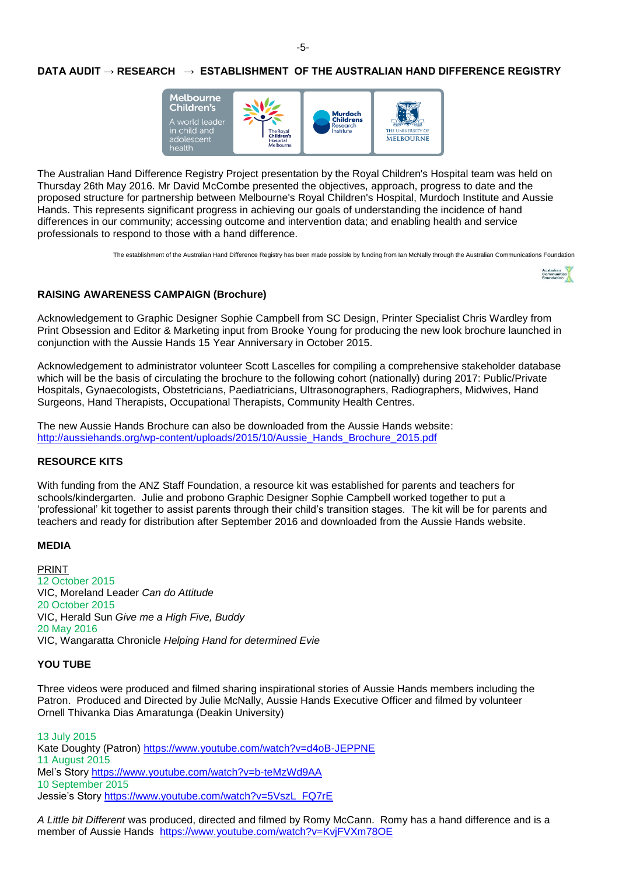# **DATA AUDIT → RESEARCH → ESTABLISHMENT OF THE AUSTRALIAN HAND DIFFERENCE REGISTRY**



The Australian Hand Difference Registry Project presentation by the Royal Children's Hospital team was held on Thursday 26th May 2016. Mr David McCombe presented the objectives, approach, progress to date and the proposed structure for partnership between Melbourne's Royal Children's Hospital, Murdoch Institute and Aussie Hands. This represents significant progress in achieving our goals of understanding the incidence of hand differences in our community; accessing outcome and intervention data; and enabling health and service professionals to respond to those with a hand difference.

The establishment of the Australian Hand Difference Registry has been made possible by funding from Ian McNally through the Australian Communicatio[ns Foundation](http://www.google.com.au/imgres?imgurl=http://www.opbg.com.au/wp-content/uploads/2010/02/aust_communities_foundation.jpg&imgrefurl=http://www.opbg.com.au/wp-content/uploads/2010/02/&h=300&w=300&tbnid=d_HqjryQdLNUXM:&docid=Bf6I79hwJgFyYM&itg=1&ei=fww3Vp6HCY_kjwOgp77wDw&tbm=isch&ved=0CCsQMygQMBBqFQoTCN7CvNOX8cgCFQ_yYwodoJMP_g)



### **RAISING AWARENESS CAMPAIGN (Brochure)**

Acknowledgement to Graphic Designer Sophie Campbell from SC Design, Printer Specialist Chris Wardley from Print Obsession and Editor & Marketing input from Brooke Young for producing the new look brochure launched in conjunction with the Aussie Hands 15 Year Anniversary in October 2015.

Acknowledgement to administrator volunteer Scott Lascelles for compiling a comprehensive stakeholder database which will be the basis of circulating the brochure to the following cohort (nationally) during 2017: Public/Private Hospitals, Gynaecologists, Obstetricians, Paediatricians, Ultrasonographers, Radiographers, Midwives, Hand Surgeons, Hand Therapists, Occupational Therapists, Community Health Centres.

The new Aussie Hands Brochure can also be downloaded from the Aussie Hands website: [http://aussiehands.org/wp-content/uploads/2015/10/Aussie\\_Hands\\_Brochure\\_2015.pdf](http://aussiehands.org/wp-content/uploads/2015/10/Aussie_Hands_Brochure_2015.pdf)

#### **RESOURCE KITS**

With funding from the ANZ Staff Foundation, a resource kit was established for parents and teachers for schools/kindergarten. Julie and probono Graphic Designer Sophie Campbell worked together to put a 'professional' kit together to assist parents through their child's transition stages. The kit will be for parents and teachers and ready for distribution after September 2016 and downloaded from the Aussie Hands website.

#### **MEDIA**

PRINT 12 October 2015 VIC, Moreland Leader *Can do Attitude* 20 October 2015 VIC, Herald Sun *Give me a High Five, Buddy* 20 May 2016 VIC, Wangaratta Chronicle *Helping Hand for determined Evie*

#### **YOU TUBE**

Three videos were produced and filmed sharing inspirational stories of Aussie Hands members including the Patron. Produced and Directed by Julie McNally, Aussie Hands Executive Officer and filmed by volunteer Ornell Thivanka Dias Amaratunga (Deakin University)

13 July 2015 Kate Doughty (Patron)<https://www.youtube.com/watch?v=d4oB-JEPPNE> 11 August 2015 Mel's Story<https://www.youtube.com/watch?v=b-teMzWd9AA> 10 September 2015 Jessie's Story [https://www.youtube.com/watch?v=5VszL\\_FQ7rE](https://www.youtube.com/watch?v=5VszL_FQ7rE)

*A Little bit Different* was produced, directed and filmed by Romy McCann. Romy has a hand difference and is a member of Aussie Hands <https://www.youtube.com/watch?v=KvjFVXm78OE>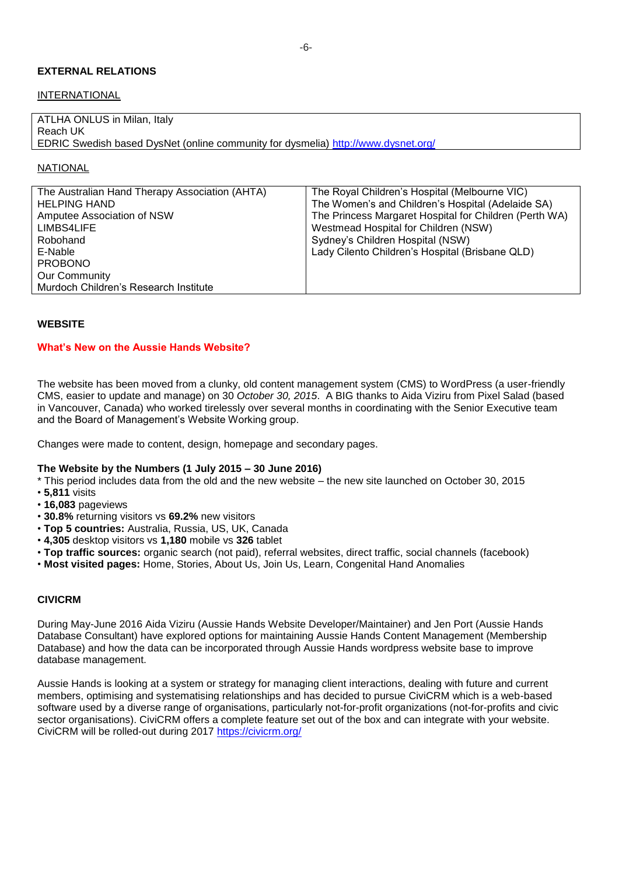# **EXTERNAL RELATIONS**

#### **INTERNATIONAL**

| ATLHA ONLUS in Milan, Italy                                                       |  |
|-----------------------------------------------------------------------------------|--|
| Reach UK                                                                          |  |
| EDRIC Swedish based DysNet (online community for dysmelia) http://www.dysnet.org/ |  |

### **NATIONAL**

| The Australian Hand Therapy Association (AHTA) | The Royal Children's Hospital (Melbourne VIC)          |
|------------------------------------------------|--------------------------------------------------------|
| <b>HELPING HAND</b>                            | The Women's and Children's Hospital (Adelaide SA)      |
| Amputee Association of NSW                     | The Princess Margaret Hospital for Children (Perth WA) |
| LIMBS4LIFE                                     | Westmead Hospital for Children (NSW)                   |
| Robohand                                       | Sydney's Children Hospital (NSW)                       |
| E-Nable                                        | Lady Cilento Children's Hospital (Brisbane QLD)        |
| <b>PROBONO</b>                                 |                                                        |
| <b>Our Community</b>                           |                                                        |
| Murdoch Children's Research Institute          |                                                        |

#### **WEBSITE**

#### **What's New on the Aussie Hands Website?**

The website has been moved from a clunky, old content management system (CMS) to WordPress (a user-friendly CMS, easier to update and manage) on 30 *October 30, 2015*. A BIG thanks to Aida Viziru from Pixel Salad (based in Vancouver, Canada) who worked tirelessly over several months in coordinating with the Senior Executive team and the Board of Management's Website Working group.

Changes were made to content, design, homepage and secondary pages.

#### **The Website by the Numbers (1 July 2015 – 30 June 2016)**

- \* This period includes data from the old and the new website the new site launched on October 30, 2015
- **5,811** visits
- **16,083** pageviews
- **30.8%** returning visitors vs **69.2%** new visitors
- **Top 5 countries:** Australia, Russia, US, UK, Canada
- **4,305** desktop visitors vs **1,180** mobile vs **326** tablet
- **Top traffic sources:** organic search (not paid), referral websites, direct traffic, social channels (facebook)
- **Most visited pages:** Home, Stories, About Us, Join Us, Learn, Congenital Hand Anomalies

#### **CIVICRM**

During May-June 2016 Aida Viziru (Aussie Hands Website Developer/Maintainer) and Jen Port (Aussie Hands Database Consultant) have explored options for maintaining Aussie Hands Content Management (Membership Database) and how the data can be incorporated through Aussie Hands wordpress website base to improve database management.

Aussie Hands is looking at a system or strategy for managing client interactions, dealing with future and current members, optimising and systematising relationships and has decided to pursue CiviCRM which is a web-based software used by a diverse range of organisations, particularly not-for-profit organizations (not-for-profits and civic sector organisations). CiviCRM offers a complete feature set out of the box and can integrate with your website. CiviCRM will be rolled-out during 2017<https://civicrm.org/>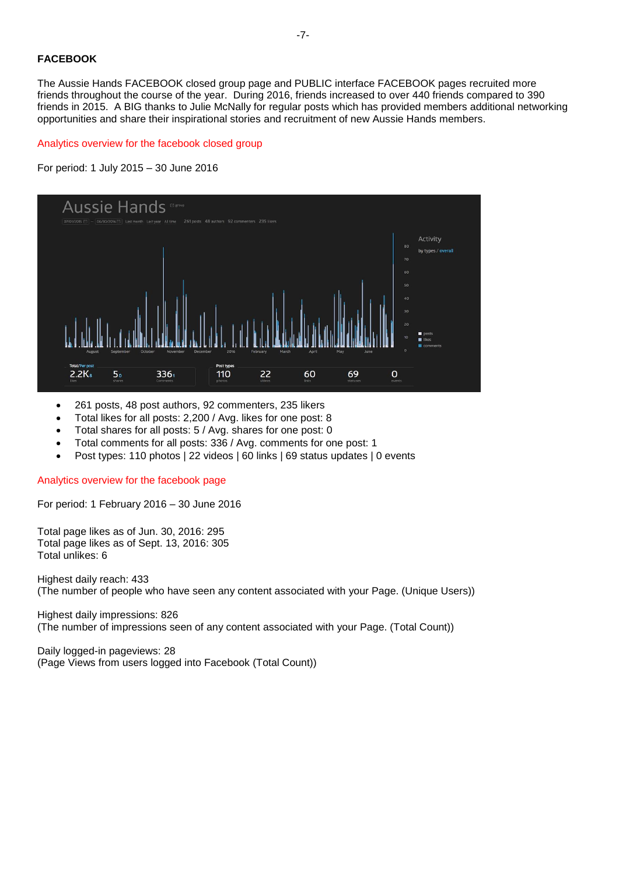# **FACEBOOK**

The Aussie Hands FACEBOOK closed group page and PUBLIC interface FACEBOOK pages recruited more friends throughout the course of the year. During 2016, friends increased to over 440 friends compared to 390 friends in 2015. A BIG thanks to Julie McNally for regular posts which has provided members additional networking opportunities and share their inspirational stories and recruitment of new Aussie Hands members.

### Analytics overview for the facebook closed group





- 261 posts, 48 post authors, 92 commenters, 235 likers
- Total likes for all posts: 2,200 / Avg. likes for one post: 8
- Total shares for all posts: 5 / Avg. shares for one post: 0
- Total comments for all posts: 336 / Avg. comments for one post: 1
- Post types: 110 photos | 22 videos | 60 links | 69 status updates | 0 events

Analytics overview for the facebook page

For period: 1 February 2016 – 30 June 2016

Total page likes as of Jun. 30, 2016: 295 Total page likes as of Sept. 13, 2016: 305 Total unlikes: 6

Highest daily reach: 433 (The number of people who have seen any content associated with your Page. (Unique Users))

Highest daily impressions: 826 (The number of impressions seen of any content associated with your Page. (Total Count))

Daily logged-in pageviews: 28 (Page Views from users logged into Facebook (Total Count))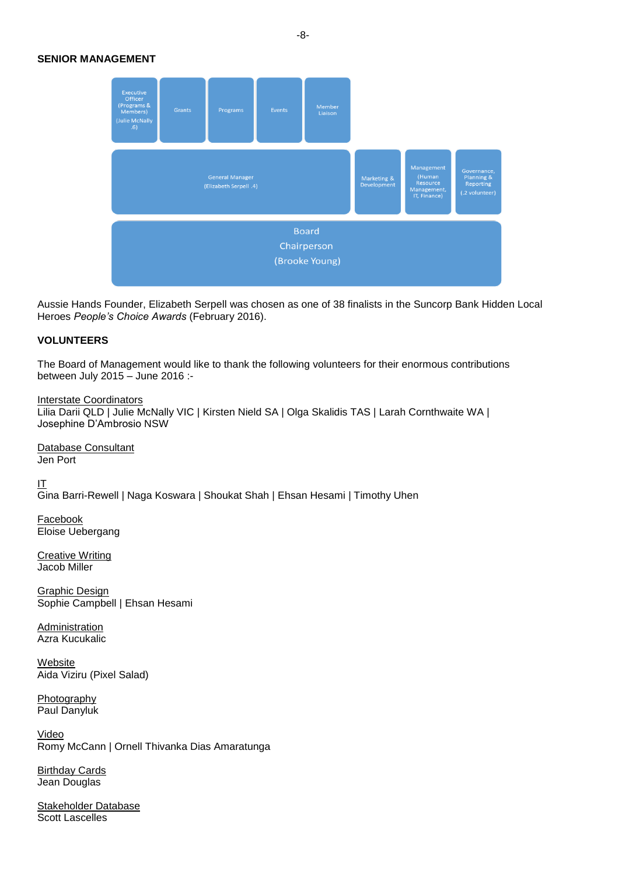### **SENIOR MANAGEMENT**



Aussie Hands Founder, Elizabeth Serpell was chosen as one of 38 finalists in the Suncorp Bank Hidden Local Heroes *People's Choice Awards* (February 2016).

#### **VOLUNTEERS**

The Board of Management would like to thank the following volunteers for their enormous contributions between July 2015 – June 2016 :-

Interstate Coordinators Lilia Darii QLD | Julie McNally VIC | Kirsten Nield SA | Olga Skalidis TAS | Larah Cornthwaite WA | Josephine D'Ambrosio NSW

Database Consultant Jen Port

IT Gina Barri-Rewell | Naga Koswara | Shoukat Shah | Ehsan Hesami | Timothy Uhen

**Facebook** Eloise Uebergang

Creative Writing Jacob Miller

Graphic Design Sophie Campbell | Ehsan Hesami

Administration Azra Kucukalic

Website Aida Viziru (Pixel Salad)

Photography Paul Danyluk

Video Romy McCann | Ornell Thivanka Dias Amaratunga

**Birthday Cards** Jean Douglas

Stakeholder Database Scott Lascelles